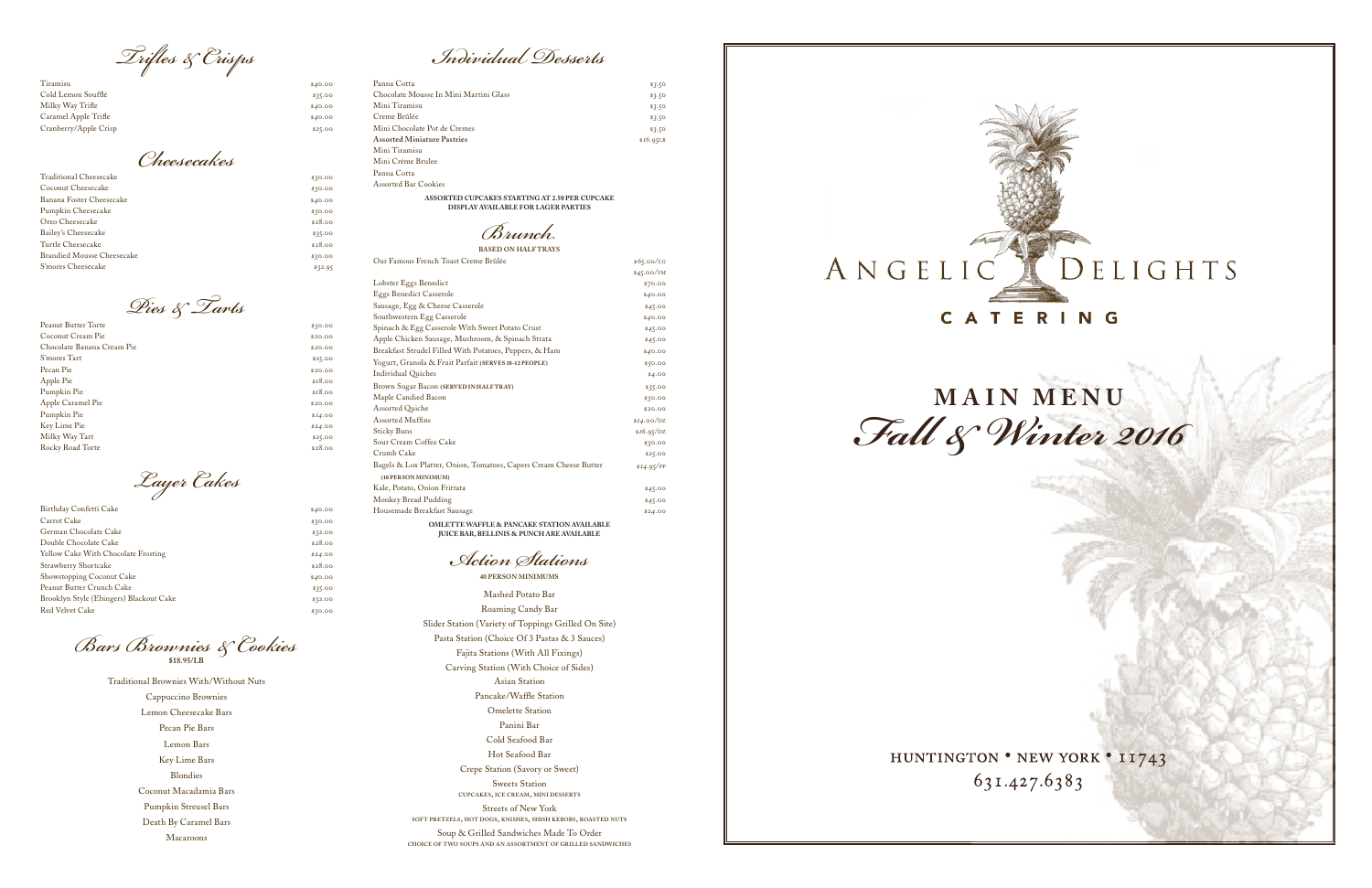French Toast Creme Brûlée . /

**Action Stations** *ndividual esserts*

| Tiramisu              | \$40.00 | Panna Cotta               |
|-----------------------|---------|---------------------------|
| Cold Lemon Soufflé    | \$35.00 | Chocolate Mousse In Min   |
| Milky Way Trifle      | \$40.00 | Mini Tiramisu             |
| Caramel Apple Trifle  | \$40.00 | Creme Brûlée              |
| Cranberry/Apple Crisp | \$25.00 | Mini Chocolate Pot de Cre |
|                       |         | $\Lambda$ . IMP . D. .    |

| Traditional Cheesecake     | \$30.00 |
|----------------------------|---------|
| Coconut Cheesecake         | \$30.00 |
| Banana Foster Cheesecake   | \$40.00 |
| Pumpkin Cheesecake         | \$30.00 |
| Oreo Cheesecake            | \$28.00 |
| Bailey's Cheesecake        | \$35.00 |
| Turtle Cheesecake          | \$28.00 |
| Brandied Mousse Cheesecake | \$30.00 |
| S'mores Cheesecake         | \$32.95 |
|                            |         |

r<sub>c</sub> Dies & Tarts  $\text{A}$ sparagus Brioche Strata . Strata . Strata . Strata . Strata . Strata . Strata . Strata . Strata . Strata . Strata . Strata . Strata . Strata . Strata . Strata . Strata . Strata . Strata . Strata . Strata . Strata .  $\frac{1}{20}$   $\frac{1}{20}$   $\frac{1}{20}$   $\frac{1}{20}$   $\frac{1}{20}$   $\frac{1}{20}$   $\frac{1}{20}$   $\frac{1}{20}$   $\frac{1}{20}$   $\frac{1}{20}$   $\frac{1}{20}$   $\frac{1}{20}$   $\frac{1}{20}$   $\frac{1}{20}$   $\frac{1}{20}$   $\frac{1}{20}$   $\frac{1}{20}$   $\frac{1}{20}$   $\frac{1}{20}$   $\frac{1}{20}$  Spinach & Egg Casserole with Sweet Potato Crust . Spinach & Egg Casserole with Sweet Potato Crust . Spinach & Crust . Spinach & Crust . Spinach & Crust . Spinach & Crust . Spinach & Crust . Spinach & Crust . Spinach & Crus  $$25.00$ Peanut Butter Torte *\$30.00* Coconut Cream Pie *\$20.00* Chocolate Banana Cream Pie *\$20.00* S'mores Tart *\$25.00* Pecan Pie *\$20.00* Apple Pie *\$18.00* Pumpkin Pie *\$18.00* Apple Caramel Pie *\$20.00* Pumpkin Pie *\$14.00* Key Lime Pie *\$24.00* Milky Way Tart *\$25.00* Rocky Road Torte **\$28.00** 

*runch Trifles & Crisps Individual Desserts*

 $\mathcal{A}$  $\sigma$ es & Cookie *Bars Brownies & Cookies* **\$18.95/LB**

| Birthday Confetti Cake                  | \$40.00 |
|-----------------------------------------|---------|
| Carrot Cake                             | \$30.00 |
| German Chocolate Cake                   | \$32.00 |
| Double Chocolate Cake                   | \$28.00 |
| Yellow Cake With Chocolate Frosting     | \$24.00 |
| Strawberry Shortcake                    | \$28.00 |
| Showstopping Coconut Cake               | \$40.00 |
| Peanut Butter Crunch Cake               | \$35.00 |
| Brooklyn Style (Ebingers) Blackout Cake | \$32.00 |
| <b>Red Velvet Cake</b>                  | \$30.00 |

OMLETTE WAFFLE & PANCAKE STATION AVAILABLE<br>JUICE BAR, BELLINIS & PUNCH ARE AVAILABLE **JUICE BAR, BELLINIS & PUNCH ARE AVAILABLE**

Filet Mignon with Artichoke Puree and Arugula Traditional Brownies With/Without Nuts Cappuccino Brownies Lemon Cheesecake Bars  $\mathbf s$ Tea Sandwiches on Assorted Breads *(\$8.00/per person)* Lemon Bars Key Lime Bars Blondies Grilled Chicken with Baby Spinach, Monterey Jack, & Mango Dressing Coconut Macadamia Bars Pumpkin Streusel Bars Death By Caramel Bars Pecan Pie Bars Macaroons

 $H$ ot Seafood Bar *(\$17.95 per pound)* Crepe Station (Savory or Sweet)  $C_{\rm F}$  can be a set  $C_{\rm F}$  and  $C_{\rm F}$ Sweets Station Lemon Cheesecake Bars Coconut Macadamia Bars **cupcakes, ice cream, mini desserts** Streets of New York Death by Caramel Bars Key Lime Bars **soft pretzels, hot dogs, knishes, shish kebobs, roasted nuts** Mashed Potato Bar Roaming Candy Bar  $T_{\text{max}} = \frac{0}{2}$ Slider Station (Variety of Toppings Grilled On Site) Pasta Station (Choice Of 3 Pastas & 3 Sauces)  $E_{\text{eff}}$   $C_{\text{eff}}$  .  $C_{\text{eff}}$  .  $\sqrt{\text{M}^2/4}$  .  $\Lambda$  11  $E_{\text{eff}}^{\text{eff}}$  .  $\Lambda$ Fajita Stations (With All Fixings) Carving Station (With Choice of Sides) Asian Station Cheesecake Lollingowski in die staatstelling in die staatstelling van die staatstelling van die staatstelling<br>Die staatstelling van die staatstelling van die staatstelling van die staatstelling van die staatstelling van Pancake/Waffle Station Omelette Station *Assorted Cupcakes Starting At \$1.95 Per Cupcake Display Available For Larger Parties* Panini Bar Cold Seafood Bar Soup & Grilled Sandwiches Made To Order **choice of two soups and an assortment of grilled sandwiches**



HUNTINGTON . NEW YORK . 11743 631.427.6383



| Panna Cotta                                                                                  | \$3.50          |  |
|----------------------------------------------------------------------------------------------|-----------------|--|
| Chocolate Mousse In Mini Martini Glass                                                       | \$3.50          |  |
| Mini Tiramisu                                                                                | \$3.50          |  |
| Creme Brûlée                                                                                 | \$3.50          |  |
| Mini Chocolate Pot de Cremes                                                                 | \$3.50          |  |
| <b>Assorted Miniature Pastries</b>                                                           | \$16.95LB       |  |
| Mini Tiramisu                                                                                |                 |  |
| Mini Créme Brulee                                                                            |                 |  |
| Panna Cotta                                                                                  |                 |  |
| <b>Assorted Bar Cookies</b>                                                                  |                 |  |
| ASSORTED CUPCAKES STARTING AT 2.50 PER CUPCAKE<br><b>DISPLAY AVAILABLE FOR LAGER PARTIES</b> |                 |  |
| Brunch                                                                                       |                 |  |
| <b>BASED ON HALF TRAYS</b>                                                                   |                 |  |
| Our Famous Franch Toget Crome Brûlée                                                         | $abc = ac/\tau$ |  |

| Our Famous French Toast Creme Brûlée                                                     | \$65.00/LG   |  |
|------------------------------------------------------------------------------------------|--------------|--|
|                                                                                          | $$45.00$ /SM |  |
| Lobster Eggs Benedict                                                                    | \$70.00      |  |
| <b>Eggs Benedict Casserole</b>                                                           | \$40.00      |  |
| Sausage, Egg & Cheese Casserole                                                          | \$45.00      |  |
| Southwestern Egg Casserole                                                               | \$40.00      |  |
| Spinach & Egg Casserole With Sweet Potato Crust                                          | \$45.00      |  |
| Apple Chicken Sausage, Mushroom, & Spinach Strata                                        | \$45.00      |  |
| Breakfast Strudel Filled With Potatoes, Peppers, & Ham                                   | \$40.00      |  |
| Yogurt, Granola & Fruit Parfait (SERVES 10-12 PEOPLE)                                    | \$50.00      |  |
| <b>Individual Quiches</b>                                                                | \$4.00       |  |
| Brown Sugar Bacon (SERVED IN HALFTRAY)                                                   | \$35.00      |  |
| Maple Candied Bacon                                                                      | \$30.00      |  |
| <b>Assorted Quiche</b>                                                                   | \$20.00      |  |
| Assorted Muffins                                                                         | \$14.00/DZ   |  |
| <b>Sticky Buns</b>                                                                       | \$16.95/DZ   |  |
| Sour Cream Coffee Cake                                                                   | \$30.00      |  |
| Crumb Cake                                                                               | \$25.00      |  |
| Bagels & Lox Platter, Onion, Tomatoes, Capers Cream Cheese Butter<br>(10 PERSON MINIMUM) | \$14.95/PP   |  |
| Kale, Potato, Onion Frittata                                                             |              |  |
| Monkey Bread Pudding                                                                     | \$45.00      |  |
| Housemade Breakfast Sausage                                                              | \$45.00      |  |
|                                                                                          | \$24.00      |  |
| <b>OMLETTE WAFFLE &amp; PANCAKE STATION AVAILABLE</b>                                    |              |  |

Mini Cinnamon Sugar Doughnut Muffins . / *Layer Cakes*

*Cheesecakes*